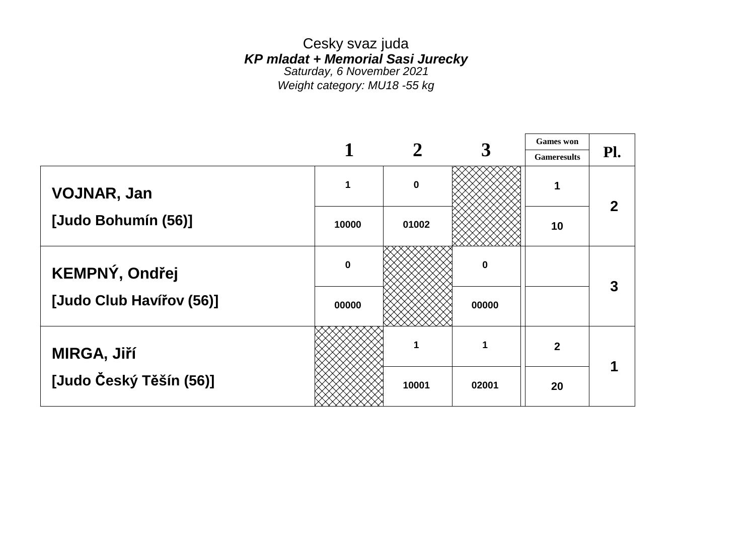Cesky svaz juda *KP mladat + Memorial Sasi Jurecky Saturday, 6 November 2021 Weight category: MU18 -55 kg*

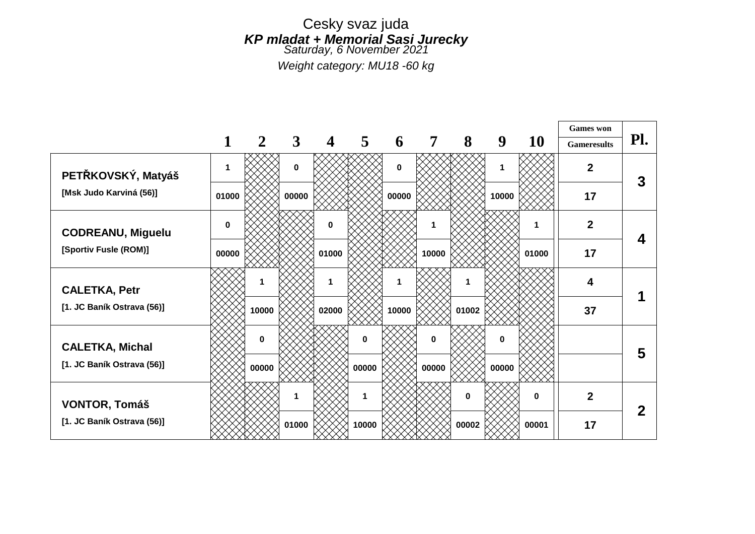#### Cesky svaz juda *KP mladat + Memorial Sasi Jurecky Saturday, 6 November 2021*

*Weight category: MU18 -60 kg*

|                            |             |       |              |             |                |          |                |          |          |          | <b>Games</b> won   |     |
|----------------------------|-------------|-------|--------------|-------------|----------------|----------|----------------|----------|----------|----------|--------------------|-----|
|                            |             | 2     | $\mathbf{3}$ | 4           | $\overline{5}$ | 6        | $\overline{7}$ | 8        | 9        | 10       | <b>Gameresults</b> | Pl. |
| PETŘKOVSKÝ, Matyáš         | $\mathbf 1$ |       | $\mathbf 0$  |             |                | $\bf{0}$ |                |          | 1        |          | $\mathbf 2$        | 3   |
| [Msk Judo Karviná (56)]    | 01000       |       | 00000        |             |                | 00000    |                |          | 10000    |          | 17                 |     |
| <b>CODREANU, Miguelu</b>   | $\bf{0}$    |       |              | $\mathbf 0$ |                |          |                |          |          | 1        | $\mathbf 2$        | 4   |
| [Sportiv Fusle (ROM)]      | 00000       |       |              | 01000       |                |          | 10000          |          |          | 01000    | 17                 |     |
| <b>CALETKA, Petr</b>       |             |       |              | $\mathbf 1$ |                |          |                |          |          |          | 4                  |     |
| [1. JC Baník Ostrava (56)] |             | 10000 |              | 02000       |                | 10000    |                | 01002    |          |          | 37                 |     |
| <b>CALETKA, Michal</b>     |             | 0     |              |             | $\bf{0}$       |          | $\bf{0}$       |          | $\bf{0}$ |          |                    |     |
| [1. JC Baník Ostrava (56)] |             | 00000 |              |             | 00000          |          | 00000          |          | 00000    |          |                    | 5   |
| <b>VONTOR, Tomáš</b>       |             |       | 1            |             | 1              |          |                | $\bf{0}$ |          | $\bf{0}$ | $\overline{2}$     |     |
| [1. JC Baník Ostrava (56)] |             |       | 01000        |             | 10000          |          |                | 00002    |          | 00001    | 17                 | 2   |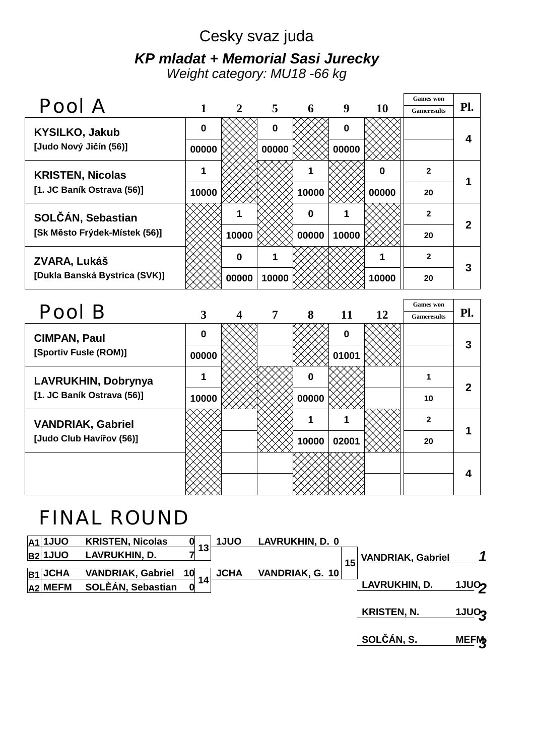#### Cesky svaz juda *KP mladat + Memorial Sasi Jurecky Weight category: MU18 -66 kg*

| Pool A                        |          |              |                |          |          |           | <b>Games</b> won   | Pl. |
|-------------------------------|----------|--------------|----------------|----------|----------|-----------|--------------------|-----|
|                               |          | $\mathbf{2}$ | 5 <sup>5</sup> | 6        | 9        | <b>10</b> | <b>Gameresults</b> |     |
| <b>KYSILKO, Jakub</b>         | $\bf{0}$ |              | $\bf{0}$       |          | $\bf{0}$ |           |                    |     |
| [Judo Nový Jičín (56)]        | 00000    |              | 00000          |          | 00000    |           |                    |     |
| <b>KRISTEN, Nicolas</b>       | 1        |              |                |          |          | 0         | $\mathbf{2}$       |     |
| [1. JC Baník Ostrava (56)]    | 10000    |              |                | 10000    |          | 00000     | 20                 |     |
| SOLČÁN, Sebastian             |          |              |                | $\bf{0}$ |          |           | $\mathbf{2}$       | 2   |
| [Sk Město Frýdek-Místek (56)] |          | 10000        |                | 00000    | 10000    |           | 20                 |     |
| ZVARA, Lukáš                  |          | $\bf{0}$     |                |          |          |           | $\mathbf{2}$       | 3   |
| [Dukla Banská Bystrica (SVK)] |          | 00000        | 10000          |          |          | 10000     | 20                 |     |

|          |   |       |             |    | <b>Games</b> won   |     |
|----------|---|-------|-------------|----|--------------------|-----|
|          |   |       |             |    | <b>Gameresults</b> | Pl. |
| $\bf{0}$ |   |       | $\mathbf 0$ |    |                    | 3   |
| 00000    |   |       | 01001       |    |                    |     |
|          |   | 0     |             |    |                    | 2   |
| 10000    |   | 00000 |             |    | 10                 |     |
|          |   |       |             |    | $\overline{2}$     |     |
|          |   | 10000 | 02001       |    | 20                 |     |
|          |   |       |             |    |                    |     |
|          | 3 | 7     | 8           | 11 | 12                 |     |

## FINAL ROUND

| A1 1JUO        | <b>KRISTEN, Nicolas</b>  |    | <b>1JUO</b> | <b>LAVRUKHIN, D. 0</b> |    |                          |                   |
|----------------|--------------------------|----|-------------|------------------------|----|--------------------------|-------------------|
| <b>B2</b> 1JUO | LAVRUKHIN, D.            | 13 |             |                        | 15 | <b>VANDRIAK, Gabriel</b> | 1                 |
| $ B1 $ JCHA    | <b>VANDRIAK, Gabriel</b> | 10 | <b>JCHA</b> | VANDRIAK, G. 10        |    |                          |                   |
| $ A2 $ MEFM    | SOLÈÁN, Sebastian        | 14 |             |                        |    | LAVRUKHIN, D.            | 1JUO <sub>2</sub> |
|                |                          |    |             |                        |    | <b>KRISTEN, N.</b>       | <b>1JU03</b>      |
|                |                          |    |             |                        |    | SOLČÁN, S.               | <b>MEFM</b>       |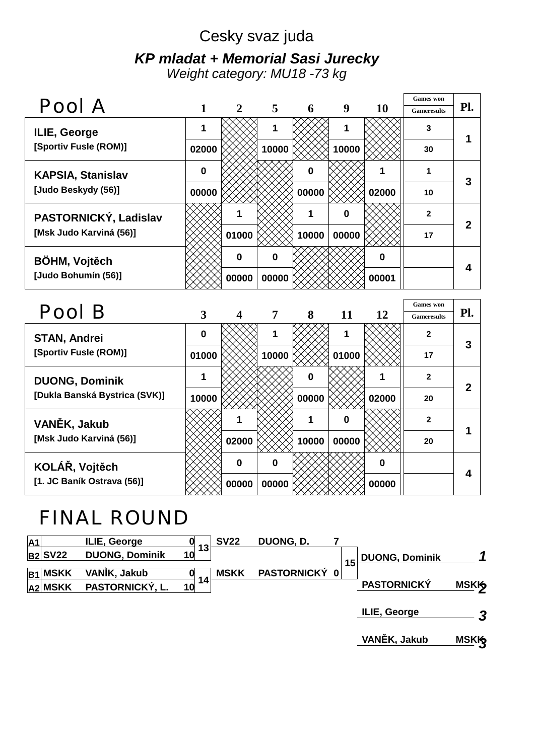# Cesky svaz juda *KP mladat + Memorial Sasi Jurecky*

*Weight category: MU18 -73 kg*

|                          |             |              |       |          |                  |           | <b>Games</b> won   |     |
|--------------------------|-------------|--------------|-------|----------|------------------|-----------|--------------------|-----|
| Pool A                   |             | 2            | 5     | 6        | 9                | <b>10</b> | <b>Gameresults</b> | Pl. |
| ILIE, George             |             |              | 1     |          | 1                |           | 3                  |     |
| [Sportiv Fusle (ROM)]    | 02000       |              | 10000 |          | 10000            |           | 30                 |     |
| <b>KAPSIA, Stanislav</b> | $\mathbf 0$ |              |       | $\bf{0}$ |                  |           |                    | 3   |
| [Judo Beskydy (56)]      | 00000       |              |       | 00000    |                  | 02000     | 10                 |     |
| PASTORNICKÝ, Ladislav    |             |              |       | 1        | $\boldsymbol{0}$ |           | $\overline{2}$     | 2   |
| [Msk Judo Karviná (56)]  |             | 01000        |       | 10000    | 00000            |           | 17                 |     |
| <b>BÖHM, Vojtěch</b>     |             | $\mathbf{0}$ | 0     |          |                  | $\bf{0}$  |                    |     |
| [Judo Bohumín (56)]      |             | 00000        | 00000 |          |                  | 00001     |                    |     |

| Pool B                        |          |          |       |                |       |       | <b>Games</b> won   |     |
|-------------------------------|----------|----------|-------|----------------|-------|-------|--------------------|-----|
|                               | 3        | 4        | 7     | 8              | 11    | 12    | <b>Gameresults</b> | Pl. |
| <b>STAN, Andrei</b>           | $\bf{0}$ |          | 1     |                |       |       | $\mathbf{2}$       | 3   |
| [Sportiv Fusle (ROM)]         | 01000    |          | 10000 |                | 01000 |       | 17                 |     |
| <b>DUONG, Dominik</b>         |          |          |       | $\bf{0}$       |       |       | $\mathbf{2}$       | 2   |
| [Dukla Banská Bystrica (SVK)] | 10000    |          |       | 00000          |       | 02000 | 20                 |     |
| VANĚK, Jakub                  |          |          |       | 1              | 0     |       | $\mathbf{2}$       |     |
| [Msk Judo Karviná (56)]       |          | 02000    |       | 00000<br>10000 |       | 20    |                    |     |
| KOLÁŘ, Vojtěch                |          | $\bf{0}$ | 0     |                |       | 0     |                    |     |
| [1. JC Baník Ostrava (56)]    |          | 00000    | 00000 |                |       | 00000 |                    |     |

## FINAL ROUND

| A <sub>1</sub> |             | ILIE, George          |          | <b>SV22</b> | DUONG, D.     |    |                       |             |
|----------------|-------------|-----------------------|----------|-------------|---------------|----|-----------------------|-------------|
|                | $ B2 $ SV22 | <b>DUONG, Dominik</b> | 13<br>10 |             |               | 15 | <b>DUONG, Dominik</b> |             |
| B <sub>1</sub> | <b>MSKK</b> | VANIK, Jakub          |          | <b>MSKK</b> | PASTORNICKÝ 0 |    |                       |             |
|                | $ A2 $ MSKK | PASTORNICKÝ, L.       | 14<br>10 |             |               |    | <b>PASTORNICKÝ</b>    | <b>MSKK</b> |
|                |             |                       |          |             |               |    | ILIE, George          | 2           |
|                |             |                       |          |             |               |    | VANĚK, Jakub          | <b>MSKK</b> |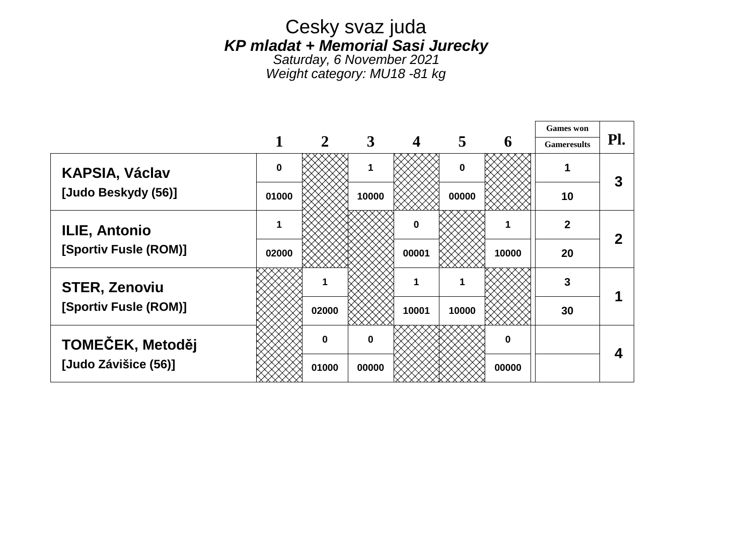#### Cesky svaz juda *KP mladat + Memorial Sasi Jurecky*

*Saturday, 6 November 2021 Weight category: MU18 -81 kg*

┱

|                       |             |              |             |             |             |             | <b>Games</b> won   |     |
|-----------------------|-------------|--------------|-------------|-------------|-------------|-------------|--------------------|-----|
|                       |             | $\mathbf{2}$ | 3           |             | 5           | 6           | <b>Gameresults</b> | Pl. |
| <b>KAPSIA, Václav</b> | $\mathbf 0$ |              | 1           |             | $\mathbf 0$ |             |                    | 3   |
| [Judo Beskydy (56)]   | 01000       |              | 10000       |             | 00000       |             | 10                 |     |
| <b>ILIE, Antonio</b>  |             |              |             | $\mathbf 0$ |             |             | $\boldsymbol{2}$   | 2   |
| [Sportiv Fusle (ROM)] | 02000       |              |             | 00001       |             | 10000       | 20                 |     |
| <b>STER, Zenoviu</b>  |             |              |             | 1           |             |             | 3                  |     |
| [Sportiv Fusle (ROM)] |             | 02000        |             | 10001       | 10000       |             | 30                 |     |
| TOMEČEK, Metoděj      |             | $\Omega$     | $\mathbf 0$ |             |             | $\mathbf 0$ |                    | 4   |
| [Judo Závišice (56)]  |             | 01000        | 00000       |             |             | 00000       |                    |     |